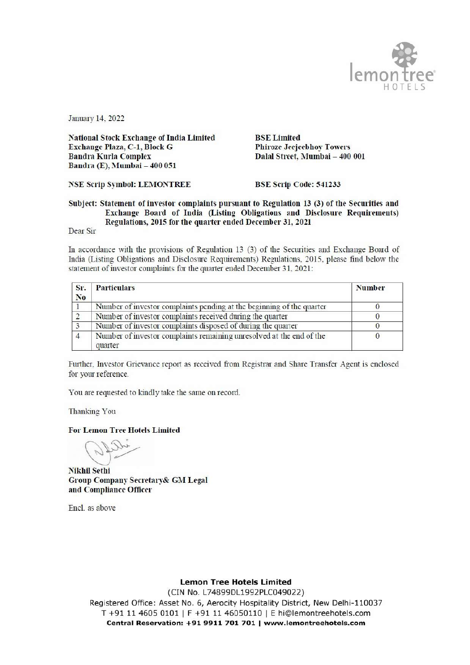

January 14, 2022

**National Stock Exchange of India Limited** Exchange Plaza, C-1, Block G **Bandra Kurla Complex** Bandra (E), Mumbai - 400 051

**BSE** Limited **Phiroze Jeejeebhoy Towers** Dalal Street, Mumbai - 400 001

**NSE Scrip Symbol: LEMONTREE** 

**BSE Scrip Code: 541233** 

## Subject: Statement of investor complaints pursuant to Regulation 13 (3) of the Securities and Exchange Board of India (Listing Obligations and Disclosure Requirements) Regulations, 2015 for the quarter ended December 31, 2021

Dear Sir

In accordance with the provisions of Regulation 13 (3) of the Securities and Exchange Board of India (Listing Obligations and Disclosure Requirements) Regulations, 2015, please find below the statement of investor complaints for the quarter ended December 31, 2021:

| Sr.<br>N <sub>o</sub> | <b>Particulars</b>                                                              | <b>Number</b> |  |
|-----------------------|---------------------------------------------------------------------------------|---------------|--|
|                       | Number of investor complaints pending at the beginning of the quarter           |               |  |
|                       | Number of investor complaints received during the quarter                       |               |  |
|                       | Number of investor complaints disposed of during the quarter                    |               |  |
|                       | Number of investor complaints remaining unresolved at the end of the<br>quarter |               |  |

Further, Investor Grievance report as received from Registrar and Share Transfer Agent is enclosed for your reference.

You are requested to kindly take the same on record.

Thanking You

**For Lemon Tree Hotels Limited** 

**Nikhil Sethi Group Company Secretary& GM Legal** and Compliance Officer

Encl. as above

**Lemon Tree Hotels Limited** 

(CIN No. L74899DL1992PLC049022) Registered Office: Asset No. 6, Aerocity Hospitality District, New Delhi-110037 T +91 11 4605 0101 | F +91 11 46050110 | E hi@lemontreehotels.com Central Reservation: +91 9911 701 701 | www.lemontreehotels.com